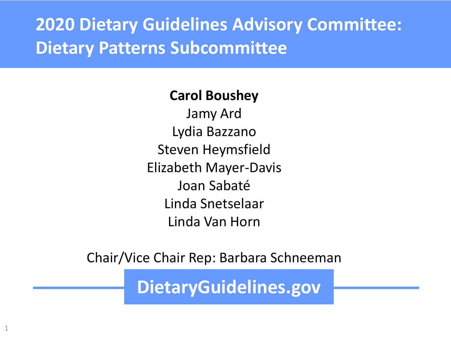**2020 Dietary Guidelines Advisory Committee: Dietary Patterns Subcommittee**

#### **Carol Boushey**

Jamy Ard Lydia Bazzano Steven Heymsfield Elizabeth Mayer-Davis Joan Sabaté Linda Snetselaar Linda Van Horn

Chair/Vice Chair Rep: Barbara Schneeman

**DietaryGuidelines.gov**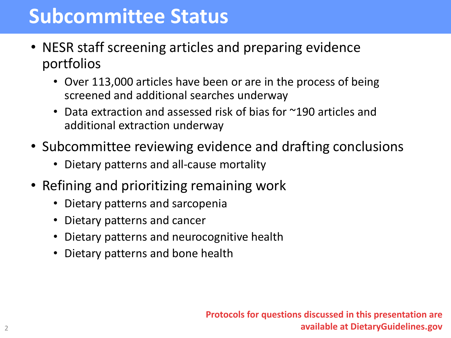### **Subcommittee Status**

- NESR staff screening articles and preparing evidence portfolios
	- Over 113,000 articles have been or are in the process of being screened and additional searches underway
	- Data extraction and assessed risk of bias for ~190 articles and additional extraction underway
- Subcommittee reviewing evidence and drafting conclusions
	- Dietary patterns and all-cause mortality
- Refining and prioritizing remaining work
	- Dietary patterns and sarcopenia
	- Dietary patterns and cancer
	- Dietary patterns and neurocognitive health
	- Dietary patterns and bone health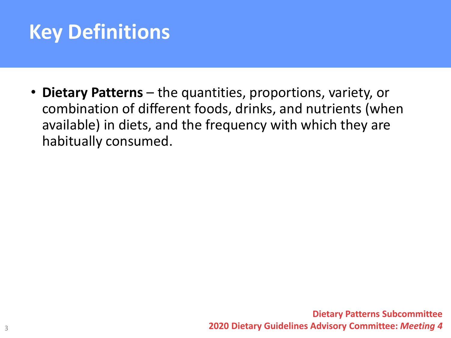# **Key Definitions**

• **Dietary Patterns** – the quantities, proportions, variety, or combination of different foods, drinks, and nutrients (when available) in diets, and the frequency with which they are habitually consumed.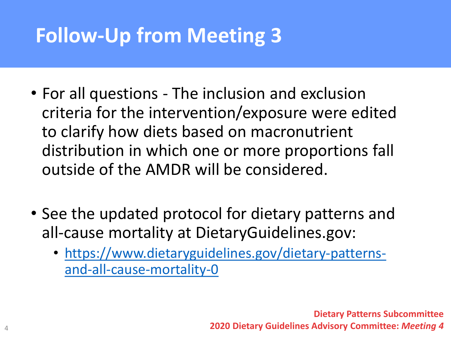# **Follow-Up from Meeting 3**

- For all questions The inclusion and exclusion criteria for the intervention/exposure were edited to clarify how diets based on macronutrient distribution in which one or more proportions fall outside of the AMDR will be considered.
- See the updated protocol for dietary patterns and all-cause mortality at DietaryGuidelines.gov:
	- [https://www.dietaryguidelines.gov/dietary-patterns](https://www.dietaryguidelines.gov/dietary-patterns-and-all-cause-mortality-0)and-all-cause-mortality-0

**Dietary Patterns Subcommittee 2020 Dietary Guidelines Advisory Committee:** *Meeting 4*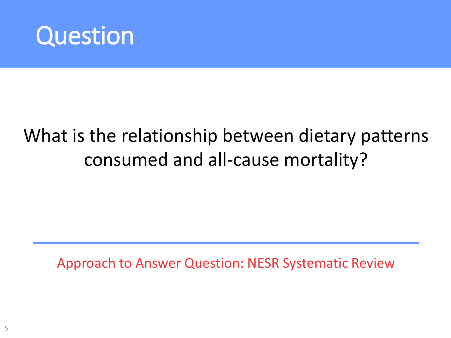

# What is the relationship between dietary patterns consumed and all-cause mortality?

Approach to Answer Question: NESR Systematic Review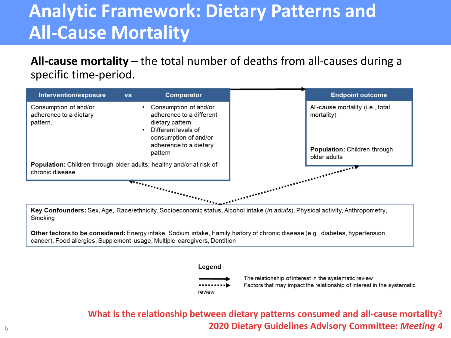### **Analytic Framework: Dietary Patterns and All-Cause Mortality**

**All-cause mortality** – the total number of deaths from all-causes during a specific time-period.



Key Confounders: Sex, Age, Race/ethnicity, Socioeconomic status, Alcohol intake (in adults), Physical activity, Anthropometry, Smoking

Other factors to be considered: Energy intake, Sodium intake, Family history of chronic disease (e.g., diabetes, hypertension, cancer), Food allergies, Supplement usage, Multiple caregivers, Dentition



The relationship of interest in the systematic review Factors that may impact the relationship of interest in the systematic

**What is the relationship between dietary patterns consumed and all-cause mortality? 2020 Dietary Guidelines Advisory Committee:** *Meeting 4*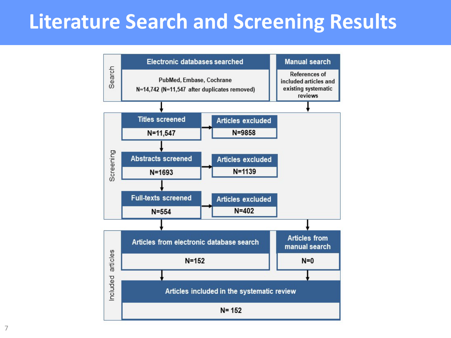## **Literature Search and Screening Results**



7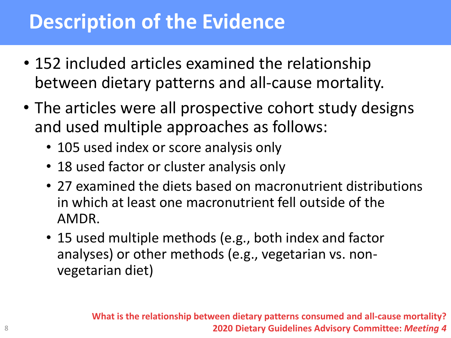# **Description of the Evidence**

- 152 included articles examined the relationship between dietary patterns and all-cause mortality.
- The articles were all prospective cohort study designs and used multiple approaches as follows:
	- 105 used index or score analysis only
	- 18 used factor or cluster analysis only
	- 27 examined the diets based on macronutrient distributions in which at least one macronutrient fell outside of the AMDR.
	- 15 used multiple methods (e.g., both index and factor analyses) or other methods (e.g., vegetarian vs. nonvegetarian diet)

**What is the relationship between dietary patterns consumed and all-cause mortality? 2020 Dietary Guidelines Advisory Committee:** *Meeting 4*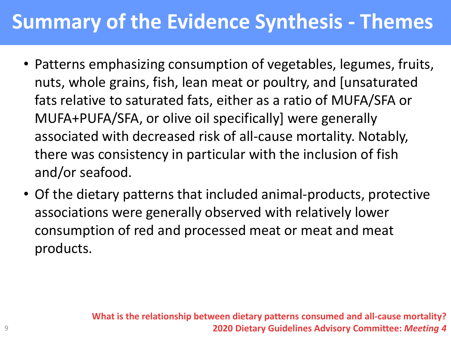# **Summary of the Evidence Synthesis - Themes**

- Patterns emphasizing consumption of vegetables, legumes, fruits, nuts, whole grains, fish, lean meat or poultry, and [unsaturated fats relative to saturated fats, either as a ratio of MUFA/SFA or MUFA+PUFA/SFA, or olive oil specifically] were generally associated with decreased risk of all-cause mortality. Notably, there was consistency in particular with the inclusion of fish and/or seafood.
- Of the dietary patterns that included animal-products, protective associations were generally observed with relatively lower consumption of red and processed meat or meat and meat products.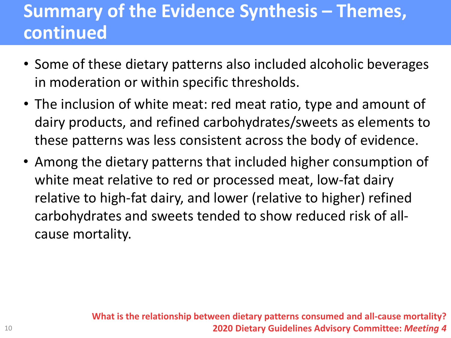### **Summary of the Evidence Synthesis – Themes, continued**

- Some of these dietary patterns also included alcoholic beverages in moderation or within specific thresholds.
- The inclusion of white meat: red meat ratio, type and amount of dairy products, and refined carbohydrates/sweets as elements to these patterns was less consistent across the body of evidence.
- Among the dietary patterns that included higher consumption of white meat relative to red or processed meat, low-fat dairy relative to high-fat dairy, and lower (relative to higher) refined carbohydrates and sweets tended to show reduced risk of allcause mortality.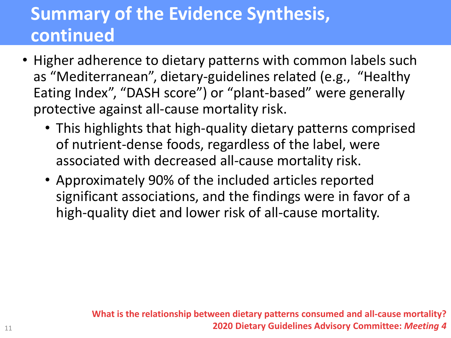### **Summary of the Evidence Synthesis, continued**

- Higher adherence to dietary patterns with common labels such as "Mediterranean", dietary-guidelines related (e.g., "Healthy Eating Index", "DASH score") or "plant-based" were generally protective against all-cause mortality risk.
	- This highlights that high-quality dietary patterns comprised of nutrient-dense foods, regardless of the label, were associated with decreased all-cause mortality risk.
	- Approximately 90% of the included articles reported significant associations, and the findings were in favor of a high-quality diet and lower risk of all-cause mortality.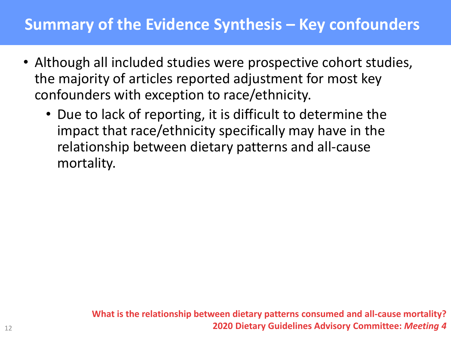#### **Summary of the Evidence Synthesis – Key confounders**

- Although all included studies were prospective cohort studies, the majority of articles reported adjustment for most key confounders with exception to race/ethnicity.
	- Due to lack of reporting, it is difficult to determine the impact that race/ethnicity specifically may have in the relationship between dietary patterns and all-cause mortality.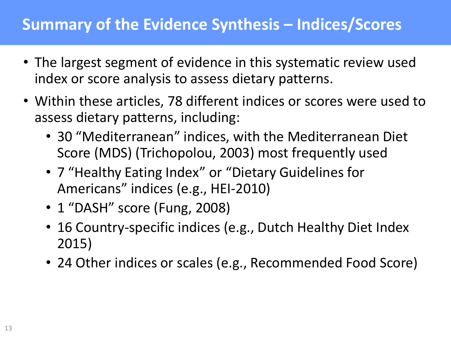#### **Summary of the Evidence Synthesis – Indices/Scores**

- The largest segment of evidence in this systematic review used index or score analysis to assess dietary patterns.
- Within these articles, 78 different indices or scores were used to assess dietary patterns, including:
	- 30 "Mediterranean" indices, with the Mediterranean Diet Score (MDS) (Trichopolou, 2003) most frequently used
	- 7 "Healthy Eating Index" or "Dietary Guidelines for Americans" indices (e.g., HEI-2010)
	- 1 "DASH" score (Fung, 2008)
	- 16 Country-specific indices (e.g., Dutch Healthy Diet Index 2015)
	- 24 Other indices or scales (e.g., Recommended Food Score)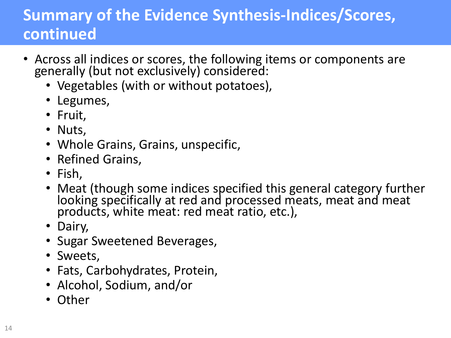### **Summary of the Evidence Synthesis-Indices/Scores, continued**

- Across all indices or scores, the following items or components are generally (but not exclusively) considered:
	- Vegetables (with or without potatoes),
	- Legumes,
	- Fruit,
	- Nuts,
	- Whole Grains, Grains, unspecific,
	- Refined Grains,
	- Fish,
	- Meat (though some indices specified this general category further looking specifically at red and processed meats, meat and meat products, white meat: red meat ratio, etc.),
	- Dairy,
	- Sugar Sweetened Beverages,
	- Sweets,
	- Fats, Carbohydrates, Protein,
	- Alcohol, Sodium, and/or
	- Other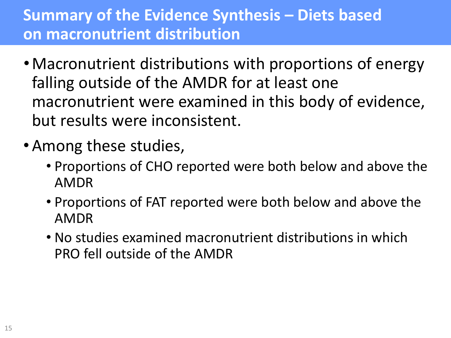### **Summary of the Evidence Synthesis – Diets based on macronutrient distribution**

- •Macronutrient distributions with proportions of energy falling outside of the AMDR for at least one macronutrient were examined in this body of evidence, but results were inconsistent.
- •Among these studies,
	- Proportions of CHO reported were both below and above the AMDR
	- Proportions of FAT reported were both below and above the AMDR
	- No studies examined macronutrient distributions in which PRO fell outside of the AMDR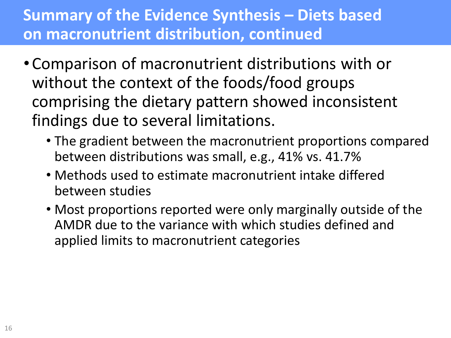### **Summary of the Evidence Synthesis – Diets based on macronutrient distribution, continued**

- Comparison of macronutrient distributions with or without the context of the foods/food groups comprising the dietary pattern showed inconsistent findings due to several limitations.
	- The gradient between the macronutrient proportions compared between distributions was small, e.g., 41% vs. 41.7%
	- Methods used to estimate macronutrient intake differed between studies
	- Most proportions reported were only marginally outside of the AMDR due to the variance with which studies defined and applied limits to macronutrient categories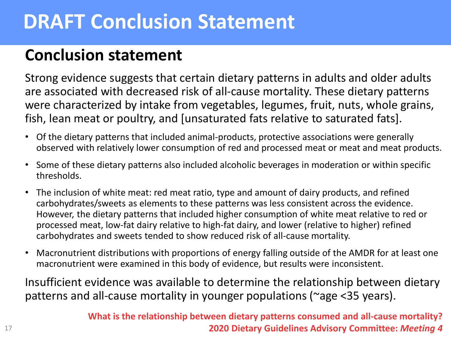# **DRAFT Conclusion Statement**

#### **Conclusion statement**

Strong evidence suggests that certain dietary patterns in adults and older adults are associated with decreased risk of all-cause mortality. These dietary patterns were characterized by intake from vegetables, legumes, fruit, nuts, whole grains, fish, lean meat or poultry, and [unsaturated fats relative to saturated fats].

- Of the dietary patterns that included animal-products, protective associations were generally observed with relatively lower consumption of red and processed meat or meat and meat products.
- Some of these dietary patterns also included alcoholic beverages in moderation or within specific thresholds.
- The inclusion of white meat: red meat ratio, type and amount of dairy products, and refined carbohydrates/sweets as elements to these patterns was less consistent across the evidence. However, the dietary patterns that included higher consumption of white meat relative to red or processed meat, low-fat dairy relative to high-fat dairy, and lower (relative to higher) refined carbohydrates and sweets tended to show reduced risk of all-cause mortality.
- Macronutrient distributions with proportions of energy falling outside of the AMDR for at least one macronutrient were examined in this body of evidence, but results were inconsistent.

Insufficient evidence was available to determine the relationship between dietary patterns and all-cause mortality in younger populations (~age <35 years).

> **What is the relationship between dietary patterns consumed and all-cause mortality? 2020 Dietary Guidelines Advisory Committee:** *Meeting 4*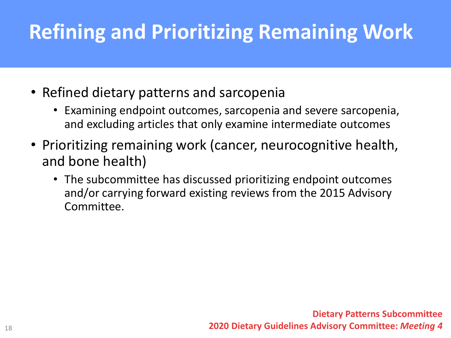# **Refining and Prioritizing Remaining Work**

- Refined dietary patterns and sarcopenia
	- Examining endpoint outcomes, sarcopenia and severe sarcopenia, and excluding articles that only examine intermediate outcomes
- Prioritizing remaining work (cancer, neurocognitive health, and bone health)
	- The subcommittee has discussed prioritizing endpoint outcomes and/or carrying forward existing reviews from the 2015 Advisory Committee.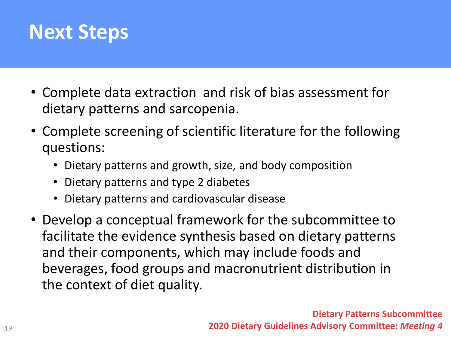### **Next Steps**

- Complete data extraction and risk of bias assessment for dietary patterns and sarcopenia.
- Complete screening of scientific literature for the following questions:
	- Dietary patterns and growth, size, and body composition
	- Dietary patterns and type 2 diabetes
	- Dietary patterns and cardiovascular disease
- Develop a conceptual framework for the subcommittee to facilitate the evidence synthesis based on dietary patterns and their components, which may include foods and beverages, food groups and macronutrient distribution in the context of diet quality.

**Dietary Patterns Subcommittee 2020 Dietary Guidelines Advisory Committee:** *Meeting 4*